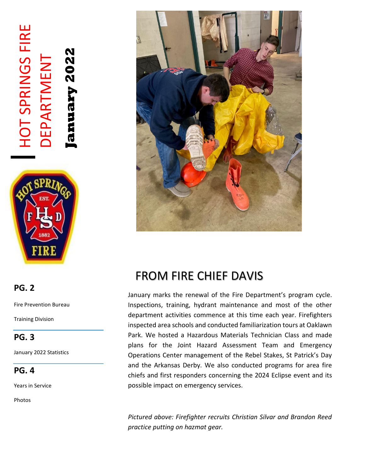# HOT SPRINGS FIRE **HOT SPRINGS FIRE** anuary 2022 **January 2022** DEPARTMENT DEPARTMENT



## **PG. 2**

Fire Prevention Bureau

Training Division

#### **PG. 3**

January 2022 Statistics

**PG. 4**

Years in Service

Photos



## FROM FIRE CHIEF DAVIS

January marks the renewal of the Fire Department's program cycle. Inspections, training, hydrant maintenance and most of the other department activities commence at this time each year. Firefighters inspected area schools and conducted familiarization tours at Oaklawn Park. We hosted a Hazardous Materials Technician Class and made plans for the Joint Hazard Assessment Team and Emergency Operations Center management of the Rebel Stakes, St Patrick's Day and the Arkansas Derby. We also conducted programs for area fire chiefs and first responders concerning the 2024 Eclipse event and its possible impact on emergency services.

*Pictured above: Firefighter recruits Christian Silvar and Brandon Reed practice putting on hazmat gear.*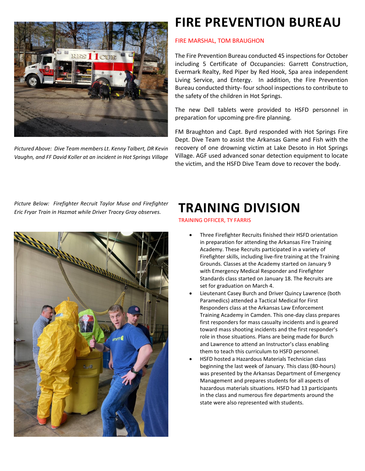

*Pictured Above: Dive Team members Lt. Kenny Talbert, DR Kevin Vaughn, and FF David Koller at an incident in Hot Springs Village*

## **FIRE PREVENTION BUREAU**

#### FIRE MARSHAL, TOM BRAUGHON

The Fire Prevention Bureau conducted 45 inspections for October including 5 Certificate of Occupancies: Garrett Construction, Evermark Realty, Red Piper by Red Hook, Spa area independent Living Service, and Entergy. In addition, the Fire Prevention Bureau conducted thirty- four school inspections to contribute to the safety of the children in Hot Springs.

The new Dell tablets were provided to HSFD personnel in preparation for upcoming pre-fire planning.

FM Braughton and Capt. Byrd responded with Hot Springs Fire Dept. Dive Team to assist the Arkansas Game and Fish with the recovery of one drowning victim at Lake Desoto in Hot Springs Village. AGF used advanced sonar detection equipment to locate the victim, and the HSFD Dive Team dove to recover the body.

*Picture Below: Firefighter Recruit Taylor Muse and Firefighter Eric Fryar Train in Hazmat while Driver Tracey Gray observes.* 



## **TRAINING DIVISION**

TRAINING OFFICER, TY FARRIS

- Three Firefighter Recruits finished their HSFD orientation in preparation for attending the Arkansas Fire Training Academy. These Recruits participated in a variety of Firefighter skills, including live-fire training at the Training Grounds. Classes at the Academy started on January 9 with Emergency Medical Responder and Firefighter Standards class started on January 18. The Recruits are set for graduation on March 4.
- Lieutenant Casey Burch and Driver Quincy Lawrence (both Paramedics) attended a Tactical Medical for First Responders class at the Arkansas Law Enforcement Training Academy in Camden. This one-day class prepares first responders for mass casualty incidents and is geared toward mass shooting incidents and the first responder's role in those situations. Plans are being made for Burch and Lawrence to attend an Instructor's class enabling them to teach this curriculum to HSFD personnel.
- HSFD hosted a Hazardous Materials Technician class beginning the last week of January. This class (80-hours) was presented by the Arkansas Department of Emergency Management and prepares students for all aspects of hazardous materials situations. HSFD had 13 participants in the class and numerous fire departments around the state were also represented with students.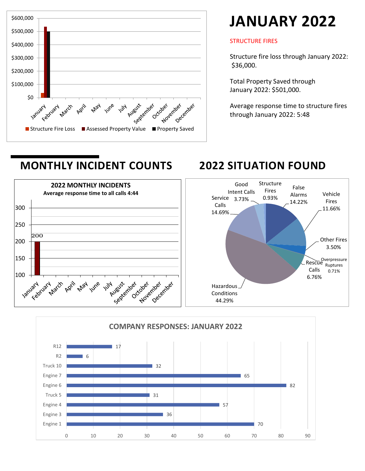

# **JANUARY 2022**

#### STRUCTURE FIRES

Structure fire loss through January 2022: \$36,000.

Total Property Saved through January 2022: \$501,000.

Average response time to structure fires through January 2022: 5:48

## **MONTHLY INCIDENT COUNTS 2022 SITUATION FOUND**